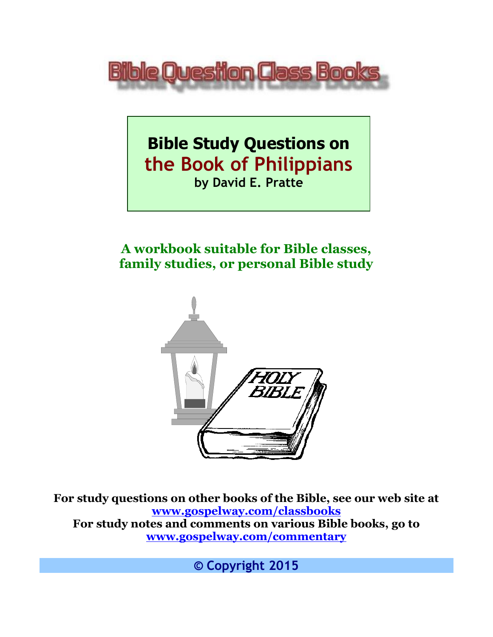

**Bible Study Questions on the Book of Philippians by David E. Pratte**

**A workbook suitable for Bible classes, family studies, or personal Bible study**



**For study questions on other books of the Bible, see our web site at [www.gospelway.com/classbooks](http://www.gospelway.com/classbooks) For study notes and comments on various Bible books, go to [www.gospelway.com/commentary](http://www.gospelway.com/commentary)**

**© Copyright 2015**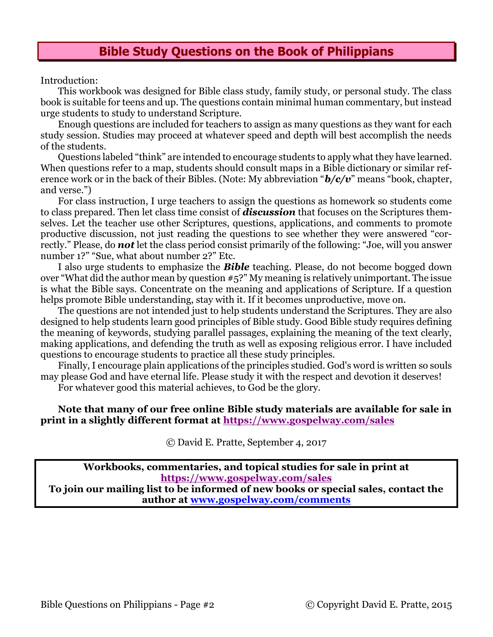# **Bible Study Questions on the Book of Philippians**

Introduction:

This workbook was designed for Bible class study, family study, or personal study. The class book is suitable for teens and up. The questions contain minimal human commentary, but instead urge students to study to understand Scripture.

Enough questions are included for teachers to assign as many questions as they want for each study session. Studies may proceed at whatever speed and depth will best accomplish the needs of the students.

Questions labeled "think" are intended to encourage students to apply what they have learned. When questions refer to a map, students should consult maps in a Bible dictionary or similar reference work or in the back of their Bibles. (Note: My abbreviation "*b/c/v*" means "book, chapter, and verse.")

For class instruction, I urge teachers to assign the questions as homework so students come to class prepared. Then let class time consist of *discussion* that focuses on the Scriptures themselves. Let the teacher use other Scriptures, questions, applications, and comments to promote productive discussion, not just reading the questions to see whether they were answered "correctly." Please, do *not* let the class period consist primarily of the following: "Joe, will you answer number 1?" "Sue, what about number 2?" Etc.

I also urge students to emphasize the *Bible* teaching. Please, do not become bogged down over "What did the author mean by question #5?" My meaning is relatively unimportant. The issue is what the Bible says. Concentrate on the meaning and applications of Scripture. If a question helps promote Bible understanding, stay with it. If it becomes unproductive, move on.

The questions are not intended just to help students understand the Scriptures. They are also designed to help students learn good principles of Bible study. Good Bible study requires defining the meaning of keywords, studying parallel passages, explaining the meaning of the text clearly, making applications, and defending the truth as well as exposing religious error. I have included questions to encourage students to practice all these study principles.

Finally, I encourage plain applications of the principles studied. God's word is written so souls may please God and have eternal life. Please study it with the respect and devotion it deserves!

For whatever good this material achieves, to God be the glory.

#### **Note that many of our free online Bible study materials are available for sale in print in a slightly different format at <https://www.gospelway.com/sales>**

© David E. Pratte, September 4, 2017

**Workbooks, commentaries, and topical studies for sale in print at <https://www.gospelway.com/sales>**

**To join our mailing list to be informed of new books or special sales, contact the author at [www.gospelway.com/comments](http://www.gospelway.com/comments)**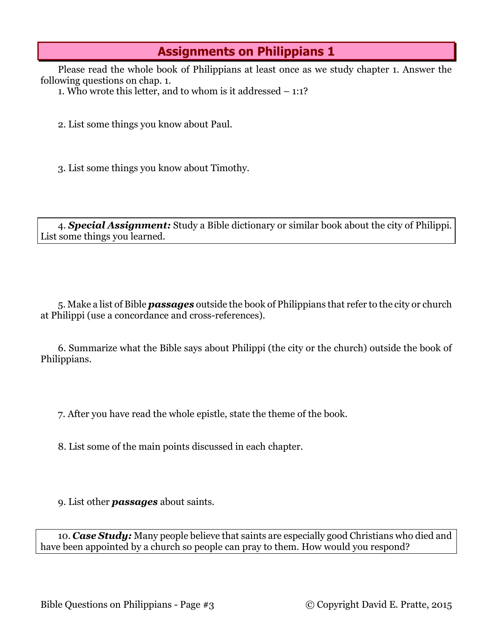Please read the whole book of Philippians at least once as we study chapter 1. Answer the following questions on chap. 1.

1. Who wrote this letter, and to whom is it addressed – 1:1?

2. List some things you know about Paul.

3. List some things you know about Timothy.

4. *Special Assignment:* Study a Bible dictionary or similar book about the city of Philippi. List some things you learned.

5. Make a list of Bible *passages* outside the book of Philippians that refer to the city or church at Philippi (use a concordance and cross-references).

6. Summarize what the Bible says about Philippi (the city or the church) outside the book of Philippians.

7. After you have read the whole epistle, state the theme of the book.

8. List some of the main points discussed in each chapter.

9. List other *passages* about saints.

10. *Case Study:* Many people believe that saints are especially good Christians who died and have been appointed by a church so people can pray to them. How would you respond?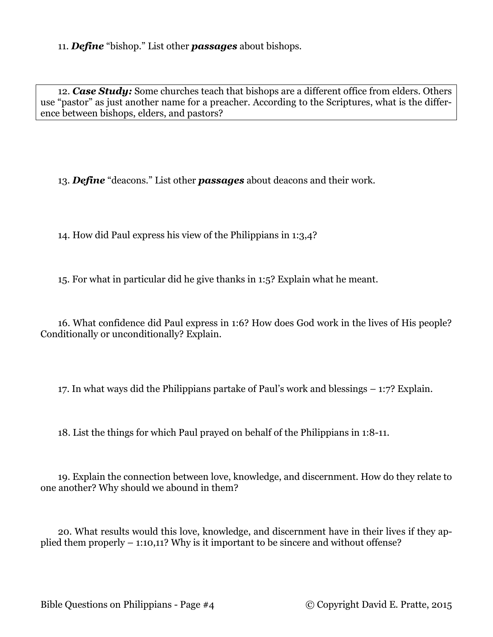11. *Define* "bishop." List other *passages* about bishops.

12. *Case Study:* Some churches teach that bishops are a different office from elders. Others use "pastor" as just another name for a preacher. According to the Scriptures, what is the difference between bishops, elders, and pastors?

13. *Define* "deacons." List other *passages* about deacons and their work.

14. How did Paul express his view of the Philippians in 1:3,4?

15. For what in particular did he give thanks in 1:5? Explain what he meant.

16. What confidence did Paul express in 1:6? How does God work in the lives of His people? Conditionally or unconditionally? Explain.

17. In what ways did the Philippians partake of Paul's work and blessings – 1:7? Explain.

18. List the things for which Paul prayed on behalf of the Philippians in 1:8-11.

19. Explain the connection between love, knowledge, and discernment. How do they relate to one another? Why should we abound in them?

20. What results would this love, knowledge, and discernment have in their lives if they applied them properly – 1:10,11? Why is it important to be sincere and without offense?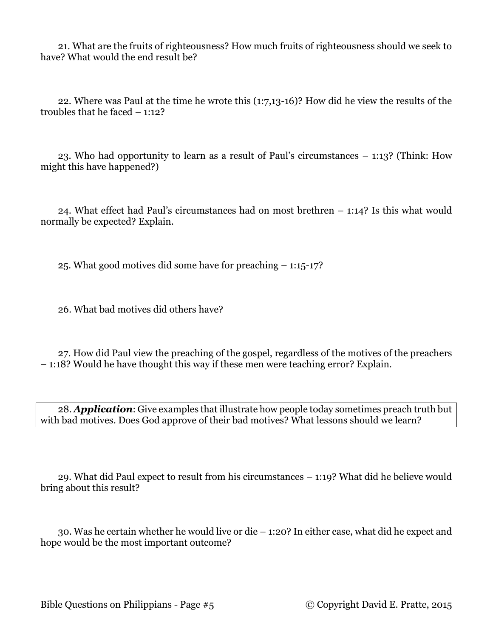21. What are the fruits of righteousness? How much fruits of righteousness should we seek to have? What would the end result be?

22. Where was Paul at the time he wrote this (1:7,13-16)? How did he view the results of the troubles that he faced – 1:12?

23. Who had opportunity to learn as a result of Paul's circumstances – 1:13? (Think: How might this have happened?)

24. What effect had Paul's circumstances had on most brethren – 1:14? Is this what would normally be expected? Explain.

25. What good motives did some have for preaching – 1:15-17?

26. What bad motives did others have?

27. How did Paul view the preaching of the gospel, regardless of the motives of the preachers – 1:18? Would he have thought this way if these men were teaching error? Explain.

28. *Application*: Give examples that illustrate how people today sometimes preach truth but with bad motives. Does God approve of their bad motives? What lessons should we learn?

29. What did Paul expect to result from his circumstances – 1:19? What did he believe would bring about this result?

30. Was he certain whether he would live or die – 1:20? In either case, what did he expect and hope would be the most important outcome?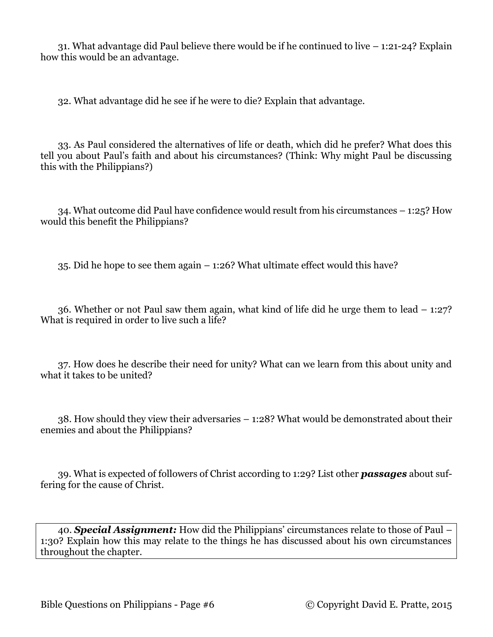31. What advantage did Paul believe there would be if he continued to live – 1:21-24? Explain how this would be an advantage.

32. What advantage did he see if he were to die? Explain that advantage.

33. As Paul considered the alternatives of life or death, which did he prefer? What does this tell you about Paul's faith and about his circumstances? (Think: Why might Paul be discussing this with the Philippians?)

34. What outcome did Paul have confidence would result from his circumstances – 1:25? How would this benefit the Philippians?

35. Did he hope to see them again – 1:26? What ultimate effect would this have?

36. Whether or not Paul saw them again, what kind of life did he urge them to lead – 1:27? What is required in order to live such a life?

37. How does he describe their need for unity? What can we learn from this about unity and what it takes to be united?

38. How should they view their adversaries – 1:28? What would be demonstrated about their enemies and about the Philippians?

39. What is expected of followers of Christ according to 1:29? List other *passages* about suffering for the cause of Christ.

40. *Special Assignment:* How did the Philippians' circumstances relate to those of Paul – 1:30? Explain how this may relate to the things he has discussed about his own circumstances throughout the chapter.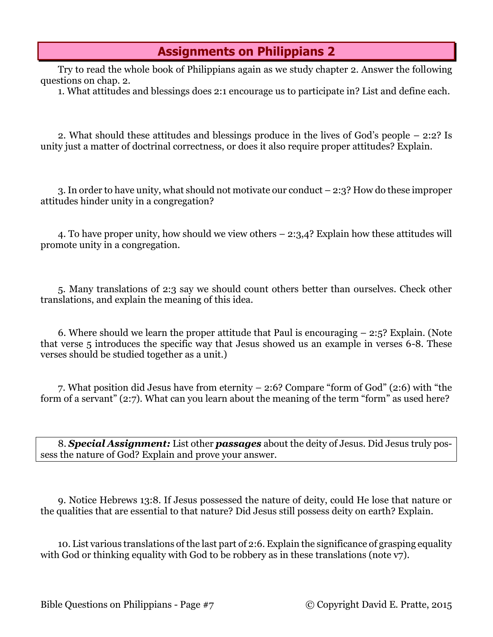Try to read the whole book of Philippians again as we study chapter 2. Answer the following questions on chap. 2.

1. What attitudes and blessings does 2:1 encourage us to participate in? List and define each.

2. What should these attitudes and blessings produce in the lives of God's people – 2:2? Is unity just a matter of doctrinal correctness, or does it also require proper attitudes? Explain.

3. In order to have unity, what should not motivate our conduct – 2:3? How do these improper attitudes hinder unity in a congregation?

4. To have proper unity, how should we view others – 2:3,4? Explain how these attitudes will promote unity in a congregation.

5. Many translations of 2:3 say we should count others better than ourselves. Check other translations, and explain the meaning of this idea.

6. Where should we learn the proper attitude that Paul is encouraging  $-2:5$ ? Explain. (Note that verse 5 introduces the specific way that Jesus showed us an example in verses 6-8. These verses should be studied together as a unit.)

7. What position did Jesus have from eternity – 2:6? Compare "form of God" (2:6) with "the form of a servant" (2:7). What can you learn about the meaning of the term "form" as used here?

8. *Special Assignment:* List other *passages* about the deity of Jesus. Did Jesus truly possess the nature of God? Explain and prove your answer.

9. Notice Hebrews 13:8. If Jesus possessed the nature of deity, could He lose that nature or the qualities that are essential to that nature? Did Jesus still possess deity on earth? Explain.

10. List various translations of the last part of 2:6. Explain the significance of grasping equality with God or thinking equality with God to be robbery as in these translations (note  $v7$ ).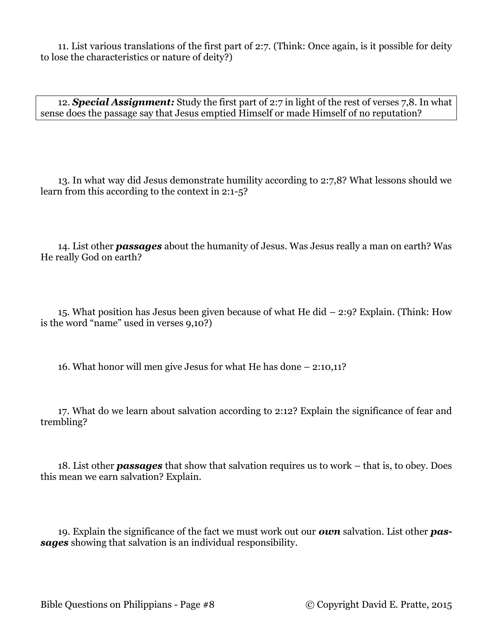11. List various translations of the first part of 2:7. (Think: Once again, is it possible for deity to lose the characteristics or nature of deity?)

12. *Special Assignment:* Study the first part of 2:7 in light of the rest of verses 7,8. In what sense does the passage say that Jesus emptied Himself or made Himself of no reputation?

13. In what way did Jesus demonstrate humility according to 2:7,8? What lessons should we learn from this according to the context in 2:1-5?

14. List other *passages* about the humanity of Jesus. Was Jesus really a man on earth? Was He really God on earth?

15. What position has Jesus been given because of what He did – 2:9? Explain. (Think: How is the word "name" used in verses 9,10?)

16. What honor will men give Jesus for what He has done – 2:10,11?

17. What do we learn about salvation according to 2:12? Explain the significance of fear and trembling?

18. List other *passages* that show that salvation requires us to work – that is, to obey. Does this mean we earn salvation? Explain.

19. Explain the significance of the fact we must work out our *own* salvation. List other *passages* showing that salvation is an individual responsibility.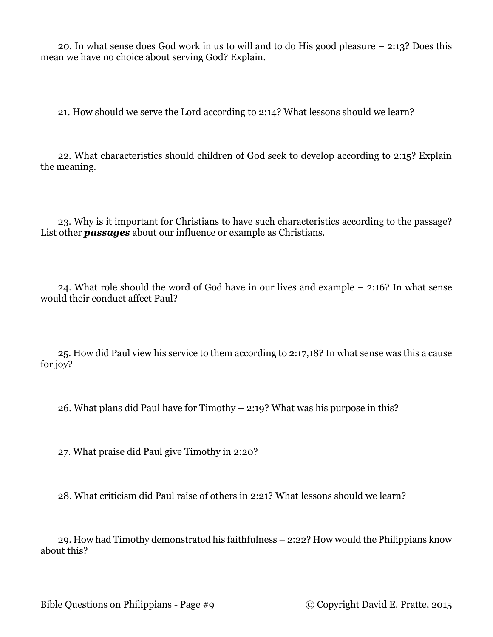20. In what sense does God work in us to will and to do His good pleasure – 2:13? Does this mean we have no choice about serving God? Explain.

21. How should we serve the Lord according to 2:14? What lessons should we learn?

22. What characteristics should children of God seek to develop according to 2:15? Explain the meaning.

23. Why is it important for Christians to have such characteristics according to the passage? List other *passages* about our influence or example as Christians.

24. What role should the word of God have in our lives and example – 2:16? In what sense would their conduct affect Paul?

25. How did Paul view his service to them according to 2:17,18? In what sense was this a cause for joy?

26. What plans did Paul have for Timothy – 2:19? What was his purpose in this?

27. What praise did Paul give Timothy in 2:20?

28. What criticism did Paul raise of others in 2:21? What lessons should we learn?

29. How had Timothy demonstrated his faithfulness – 2:22? How would the Philippians know about this?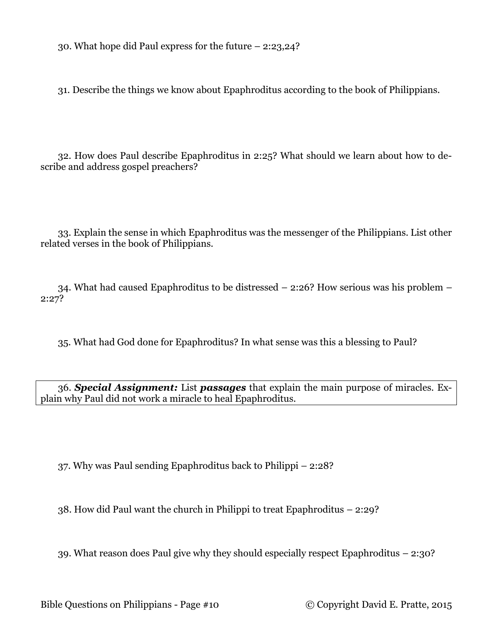30. What hope did Paul express for the future – 2:23,24?

31. Describe the things we know about Epaphroditus according to the book of Philippians.

32. How does Paul describe Epaphroditus in 2:25? What should we learn about how to describe and address gospel preachers?

33. Explain the sense in which Epaphroditus was the messenger of the Philippians. List other related verses in the book of Philippians.

34. What had caused Epaphroditus to be distressed – 2:26? How serious was his problem – 2:27?

35. What had God done for Epaphroditus? In what sense was this a blessing to Paul?

36. *Special Assignment:* List *passages* that explain the main purpose of miracles. Explain why Paul did not work a miracle to heal Epaphroditus.

37. Why was Paul sending Epaphroditus back to Philippi – 2:28?

38. How did Paul want the church in Philippi to treat Epaphroditus – 2:29?

39. What reason does Paul give why they should especially respect Epaphroditus – 2:30?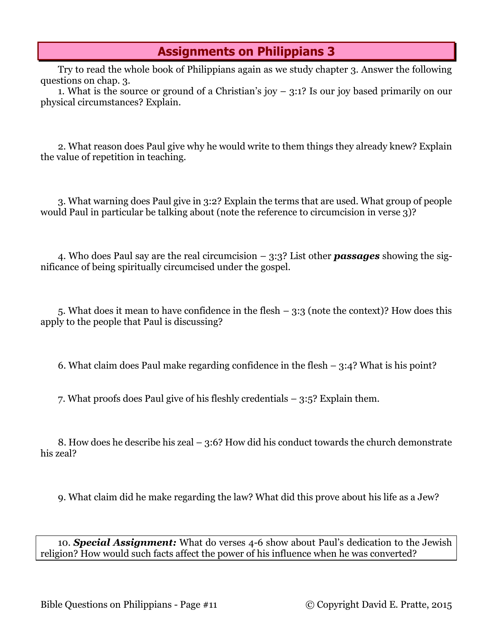Try to read the whole book of Philippians again as we study chapter 3. Answer the following questions on chap. 3.

1. What is the source or ground of a Christian's joy  $-3:1$ ? Is our joy based primarily on our physical circumstances? Explain.

2. What reason does Paul give why he would write to them things they already knew? Explain the value of repetition in teaching.

3. What warning does Paul give in 3:2? Explain the terms that are used. What group of people would Paul in particular be talking about (note the reference to circumcision in verse 3)?

4. Who does Paul say are the real circumcision – 3:3? List other *passages* showing the significance of being spiritually circumcised under the gospel.

5. What does it mean to have confidence in the flesh – 3:3 (note the context)? How does this apply to the people that Paul is discussing?

6. What claim does Paul make regarding confidence in the flesh – 3:4? What is his point?

7. What proofs does Paul give of his fleshly credentials – 3:5? Explain them.

8. How does he describe his zeal – 3:6? How did his conduct towards the church demonstrate his zeal?

9. What claim did he make regarding the law? What did this prove about his life as a Jew?

10. *Special Assignment:* What do verses 4-6 show about Paul's dedication to the Jewish religion? How would such facts affect the power of his influence when he was converted?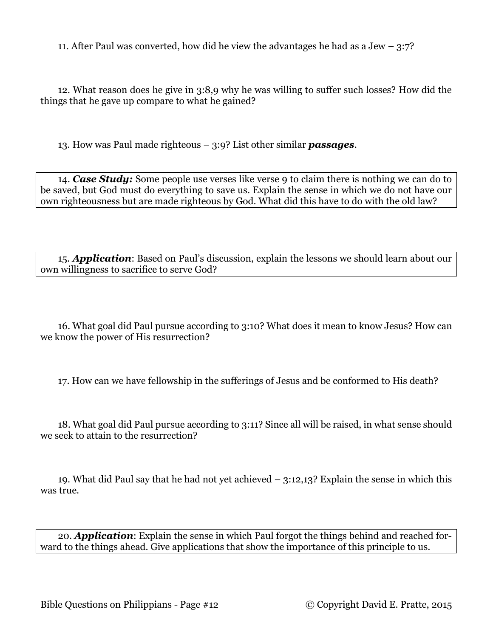11. After Paul was converted, how did he view the advantages he had as a Jew  $-3:7$ ?

12. What reason does he give in 3:8,9 why he was willing to suffer such losses? How did the things that he gave up compare to what he gained?

13. How was Paul made righteous – 3:9? List other similar *passages*.

14. *Case Study:* Some people use verses like verse 9 to claim there is nothing we can do to be saved, but God must do everything to save us. Explain the sense in which we do not have our own righteousness but are made righteous by God. What did this have to do with the old law?

15. *Application*: Based on Paul's discussion, explain the lessons we should learn about our own willingness to sacrifice to serve God?

16. What goal did Paul pursue according to 3:10? What does it mean to know Jesus? How can we know the power of His resurrection?

17. How can we have fellowship in the sufferings of Jesus and be conformed to His death?

18. What goal did Paul pursue according to 3:11? Since all will be raised, in what sense should we seek to attain to the resurrection?

19. What did Paul say that he had not yet achieved – 3:12,13? Explain the sense in which this was true.

20. *Application*: Explain the sense in which Paul forgot the things behind and reached forward to the things ahead. Give applications that show the importance of this principle to us.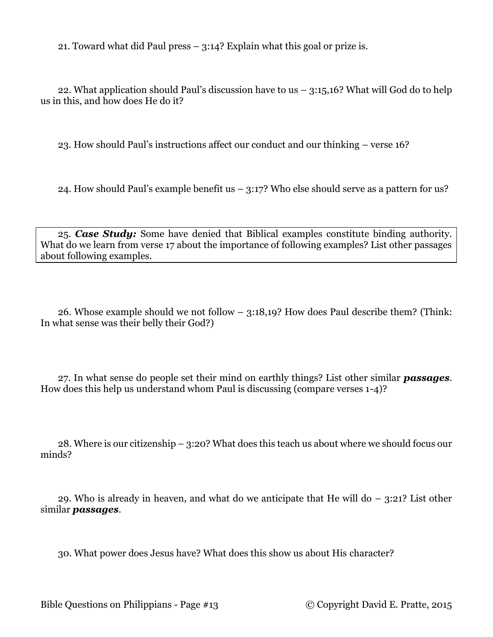21. Toward what did Paul press – 3:14? Explain what this goal or prize is.

22. What application should Paul's discussion have to us  $-$  3:15,16? What will God do to help us in this, and how does He do it?

23. How should Paul's instructions affect our conduct and our thinking – verse 16?

24. How should Paul's example benefit us – 3:17? Who else should serve as a pattern for us?

25. *Case Study:* Some have denied that Biblical examples constitute binding authority. What do we learn from verse 17 about the importance of following examples? List other passages about following examples.

26. Whose example should we not follow – 3:18,19? How does Paul describe them? (Think: In what sense was their belly their God?)

27. In what sense do people set their mind on earthly things? List other similar *passages*. How does this help us understand whom Paul is discussing (compare verses 1-4)?

28. Where is our citizenship – 3:20? What does this teach us about where we should focus our minds?

29. Who is already in heaven, and what do we anticipate that He will do  $-$  3:21? List other similar *passages*.

30. What power does Jesus have? What does this show us about His character?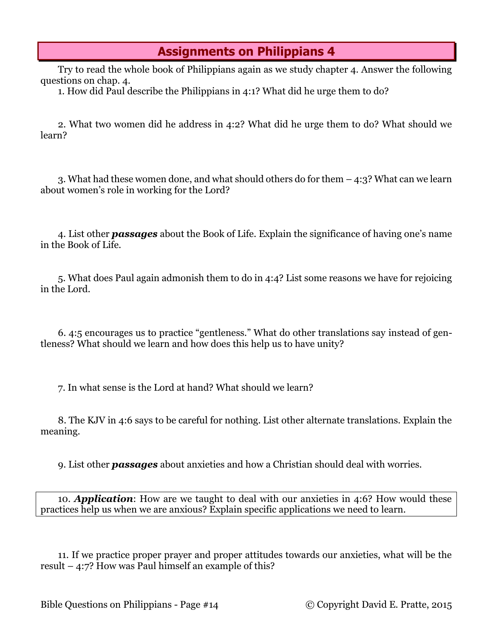Try to read the whole book of Philippians again as we study chapter 4. Answer the following questions on chap. 4.

1. How did Paul describe the Philippians in 4:1? What did he urge them to do?

2. What two women did he address in 4:2? What did he urge them to do? What should we learn?

3. What had these women done, and what should others do for them – 4:3? What can we learn about women's role in working for the Lord?

4. List other *passages* about the Book of Life. Explain the significance of having one's name in the Book of Life.

5. What does Paul again admonish them to do in 4:4? List some reasons we have for rejoicing in the Lord.

6. 4:5 encourages us to practice "gentleness." What do other translations say instead of gentleness? What should we learn and how does this help us to have unity?

7. In what sense is the Lord at hand? What should we learn?

8. The KJV in 4:6 says to be careful for nothing. List other alternate translations. Explain the meaning.

9. List other *passages* about anxieties and how a Christian should deal with worries.

10. *Application*: How are we taught to deal with our anxieties in 4:6? How would these practices help us when we are anxious? Explain specific applications we need to learn.

11. If we practice proper prayer and proper attitudes towards our anxieties, what will be the result – 4:7? How was Paul himself an example of this?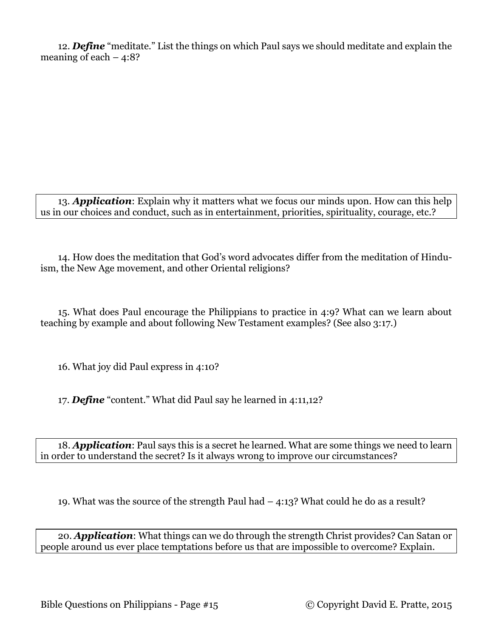12. *Define* "meditate." List the things on which Paul says we should meditate and explain the meaning of each  $-4:8$ ?

13. *Application*: Explain why it matters what we focus our minds upon. How can this help us in our choices and conduct, such as in entertainment, priorities, spirituality, courage, etc.?

14. How does the meditation that God's word advocates differ from the meditation of Hinduism, the New Age movement, and other Oriental religions?

15. What does Paul encourage the Philippians to practice in 4:9? What can we learn about teaching by example and about following New Testament examples? (See also 3:17.)

16. What joy did Paul express in 4:10?

17. *Define* "content." What did Paul say he learned in 4:11,12?

18. *Application*: Paul says this is a secret he learned. What are some things we need to learn in order to understand the secret? Is it always wrong to improve our circumstances?

19. What was the source of the strength Paul had – 4:13? What could he do as a result?

20. *Application*: What things can we do through the strength Christ provides? Can Satan or people around us ever place temptations before us that are impossible to overcome? Explain.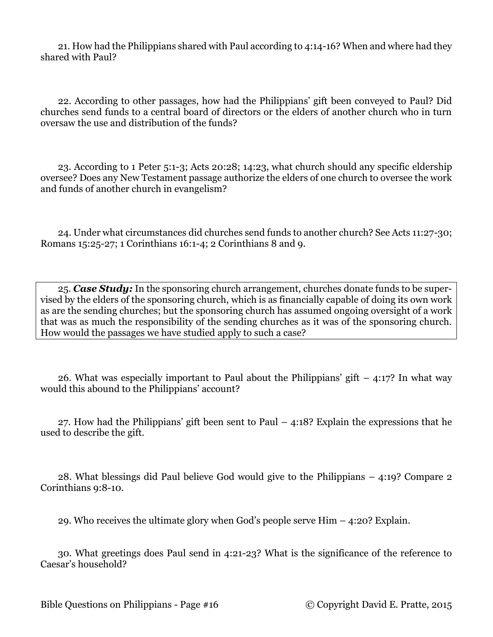21. How had the Philippians shared with Paul according to 4:14-16? When and where had they shared with Paul?

22. According to other passages, how had the Philippians' gift been conveyed to Paul? Did churches send funds to a central board of directors or the elders of another church who in turn oversaw the use and distribution of the funds?

23. According to 1 Peter 5:1-3; Acts 20:28; 14:23, what church should any specific eldership oversee? Does any New Testament passage authorize the elders of one church to oversee the work and funds of another church in evangelism?

24. Under what circumstances did churches send funds to another church? See Acts 11:27-30; Romans 15:25-27; 1 Corinthians 16:1-4; 2 Corinthians 8 and 9.

25. *Case Study:* In the sponsoring church arrangement, churches donate funds to be supervised by the elders of the sponsoring church, which is as financially capable of doing its own work as are the sending churches; but the sponsoring church has assumed ongoing oversight of a work that was as much the responsibility of the sending churches as it was of the sponsoring church. How would the passages we have studied apply to such a case?

26. What was especially important to Paul about the Philippians' gift  $-4:17$ ? In what way would this abound to the Philippians' account?

27. How had the Philippians' gift been sent to Paul – 4:18? Explain the expressions that he used to describe the gift.

28. What blessings did Paul believe God would give to the Philippians – 4:19? Compare 2 Corinthians 9:8-10.

29. Who receives the ultimate glory when God's people serve Him – 4:20? Explain.

30. What greetings does Paul send in 4:21-23? What is the significance of the reference to Caesar's household?